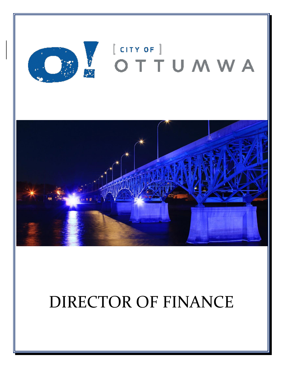

# DIRECTOR OF FINANCE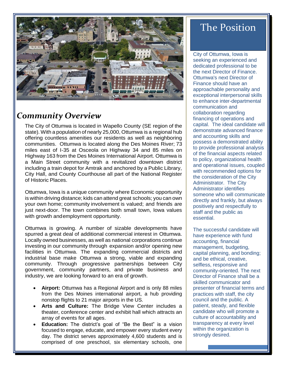

# *Community Overview*

The City of Ottumwa is located in Wapello County (SE region of the state). With a population of nearly 25,000, Ottumwa is a regional hub offering countless amenities our residents as well as neighboring communities. Ottumwa is located along the Des Moines River; 73 miles east of I-35 at Osceola on Highway 34 and 85 miles on Highway 163 from the Des Moines International Airport. Ottumwa is a Main Street community with a revitalized downtown district including a train depot for Amtrak and anchored by a Public Library, City Hall, and County Courthouse all part of the National Register of Historic Places.

Ottumwa, Iowa is a unique community where Economic opportunity is within driving distance; kids can attend great schools; you can own your own home; community involvement is valued; and friends are just next-door. The town combines both small town, Iowa values with growth andemployment opportunity.

Ottumwa is growing. A number of sizable developments have spurred a great deal of additional commercial interest in Ottumwa. Locally owned businesses, as well as national corporations continue investing in our community through expansion and/or opening new facilities in Ottumwa. The expanding commercial districts and industrial base make Ottumwa a strong, viable and expanding community. Through progressive partnerships between City government, community partners, and private business and industry, we are looking forward to an era of growth.

- Airport: Ottumwa has a Regional Airport and is only 88 miles from the Des Moines international airport, a hub providing nonstop flights to 21 major airports in the US.
- **Arts and Culture:** The Bridge View Center includes a theater, conference center and exhibit hall which attracts an array of events for all ages.
- **Education:** The district's goal of "Be the Best" is a vision focused to engage, educate, and empower every student every day. The district serves approximately 4,600 students and is comprised of one preschool, six elementary schools, one

# The Position

City of Ottumwa, Iowa is seeking an experienced and dedicated professional to be the next Director of Finance. Ottumwa's next Director of Finance should have an approachable personality and exceptional interpersonal skills to enhance inter-departmental communication and collaboration regarding financing of operations and capital. The ideal candidate will demonstrate advanced finance and accounting skills and possess a demonstrated ability to provide professional analysis of the financial aspects related to policy, organizational health and operational issues, coupled with recommended options for the consideration of the City Administrator. The City Administrator identifies someone who will communicate directly and frankly, but always positively and respectfully to staff and the public as essential.

The successful candidate will have experience with fund accounting, financial management, budgeting, capital planning, and bonding; and be ethical, creative, selfless, responsive and community-oriented. The next Director of Finance shall be a skilled communicator and presenter of financial terms and practices with staff, the city council and the public. A patient, steady, and flexible candidate who will promote a culture of accountability and transparency at every level within the organization is strongly desired.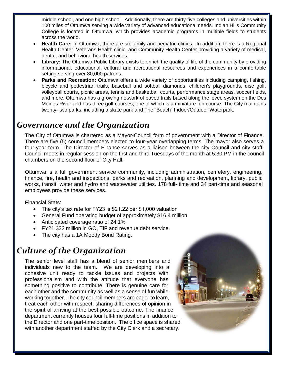middle school, and one high school. Additionally, there are thirty-five colleges and universities within 100 miles of Ottumwa serving a wide variety of advanced educational needs. Indian Hills Community College is located in Ottumwa, which provides academic programs in multiple fields to students across the world.

- **Health Care:** In Ottumwa, there are six family and pediatric clinics. In addition, there is a Regional Health Center, Veterans Health clinic, and Community Health Center providing a variety of medical, dental, and behavioral health services.
- **Library:** The Ottumwa Public Library exists to enrich the quality of life of the community by providing informational, educational, cultural and recreational resources and experiences in a comfortable setting serving over 80,000 patrons.
- **Parks and Recreation:** Ottumwa offers a wide variety of opportunities including camping, fishing, bicycle and pedestrian trails, baseball and softball diamonds, children's playgrounds, disc golf, volleyball courts, picnic areas, tennis and basketball courts, performance stage areas, soccer fields, and more. Ottumwa has a growing network of paved trails based along the levee system on the Des Moines River and has three golf courses; one of which is a miniature fun course. The City maintains twenty- two parks, including a skate park and The "Beach" Indoor/Outdoor Waterpark.

### *Governance and the Organization*

The City of Ottumwa is chartered as a Mayor-Council form of government with a Director of Finance. There are five (5) council members elected to four-year overlapping terms. The mayor also serves a four-year term. The Director of Finance serves as a liaison between the city Council and city staff. Council meets in regular session on the first and third Tuesdays of the month at 5:30 PM in the council chambers on the second floor of City Hall.

Ottumwa is a full government service community, including administration, cemetery, engineering, finance, fire, health and inspections, parks and recreation, planning and development, library, public works, transit, water and hydro and wastewater utilities. 178 full- time and 34 part-time and seasonal employees provide these services.

Financial Stats:

- The city's tax rate for FY23 is \$21.22 per \$1,000 valuation
- General Fund operating budget of approximately \$16.4 million
- Anticipated coverage ratio of 24.1%
- FY21 \$32 million in GO, TIF and revenue debt service.
- The city has a 1A Moody Bond Rating.

# *Culture of the Organization*

The senior level staff has a blend of senior members and individuals new to the team. We are developing into a cohesive unit ready to tackle issues and projects with professionalism and with the attitude that everyone has something positive to contribute. There is genuine care for each other and the community as well as a sense of fun while working together. The city council members are eager to learn, treat each other with respect; sharing differences of opinion in the spirit of arriving at the best possible outcome. The finance department currently houses four full-time positions in addition to the Director and one part-time position. The office space is shared with another department staffed by the City Clerk and a secretary.